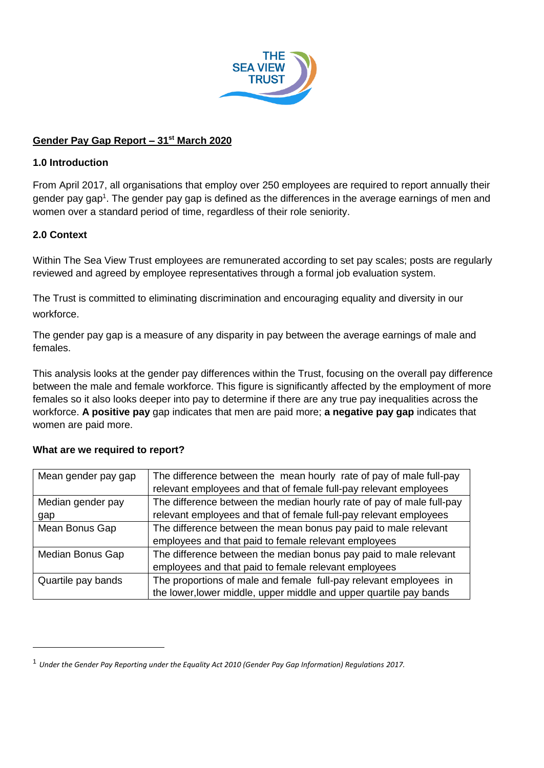

## **Gender Pay Gap Report – 31st March 2020**

### **1.0 Introduction**

From April 2017, all organisations that employ over 250 employees are required to report annually their gender pay gap<sup>1</sup>. The gender pay gap is defined as the differences in the average earnings of men and women over a standard period of time, regardless of their role seniority.

## **2.0 Context**

-

Within The Sea View Trust employees are remunerated according to set pay scales; posts are regularly reviewed and agreed by employee representatives through a formal job evaluation system.

The Trust is committed to eliminating discrimination and encouraging equality and diversity in our workforce.

The gender pay gap is a measure of any disparity in pay between the average earnings of male and females.

This analysis looks at the gender pay differences within the Trust, focusing on the overall pay difference between the male and female workforce. This figure is significantly affected by the employment of more females so it also looks deeper into pay to determine if there are any true pay inequalities across the workforce. **A positive pay** gap indicates that men are paid more; **a negative pay gap** indicates that women are paid more.

| Mean gender pay gap | The difference between the mean hourly rate of pay of male full-pay<br>relevant employees and that of female full-pay relevant employees |  |  |  |
|---------------------|------------------------------------------------------------------------------------------------------------------------------------------|--|--|--|
| Median gender pay   | The difference between the median hourly rate of pay of male full-pay                                                                    |  |  |  |
| gap                 | relevant employees and that of female full-pay relevant employees                                                                        |  |  |  |
| Mean Bonus Gap      | The difference between the mean bonus pay paid to male relevant                                                                          |  |  |  |
|                     | employees and that paid to female relevant employees                                                                                     |  |  |  |
| Median Bonus Gap    | The difference between the median bonus pay paid to male relevant                                                                        |  |  |  |
|                     | employees and that paid to female relevant employees                                                                                     |  |  |  |
| Quartile pay bands  | The proportions of male and female full-pay relevant employees in                                                                        |  |  |  |
|                     | the lower, lower middle, upper middle and upper quartile pay bands                                                                       |  |  |  |

#### **What are we required to report?**

<sup>1</sup> *Under the Gender Pay Reporting under the Equality Act 2010 (Gender Pay Gap Information) Regulations 2017.*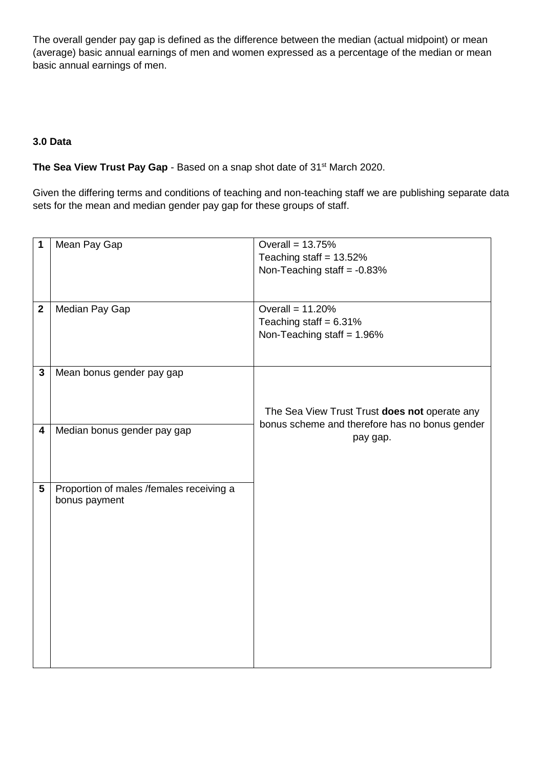The overall gender pay gap is defined as the difference between the median (actual midpoint) or mean (average) basic annual earnings of men and women expressed as a percentage of the median or mean basic annual earnings of men.

# **3.0 Data**

### **The Sea View Trust Pay Gap** - Based on a snap shot date of 31<sup>st</sup> March 2020.

Given the differing terms and conditions of teaching and non-teaching staff we are publishing separate data sets for the mean and median gender pay gap for these groups of staff.

| 1                       | Mean Pay Gap                             | Overall = $13.75%$                             |  |  |  |
|-------------------------|------------------------------------------|------------------------------------------------|--|--|--|
|                         |                                          | Teaching staff = $13.52\%$                     |  |  |  |
|                         |                                          | Non-Teaching staff = $-0.83%$                  |  |  |  |
|                         |                                          |                                                |  |  |  |
|                         |                                          |                                                |  |  |  |
| $\overline{\mathbf{2}}$ | Median Pay Gap                           | Overall = $11.20%$                             |  |  |  |
|                         |                                          | Teaching staff = $6.31\%$                      |  |  |  |
|                         |                                          | Non-Teaching staff = $1.96\%$                  |  |  |  |
|                         |                                          |                                                |  |  |  |
|                         |                                          |                                                |  |  |  |
| $\mathbf{3}$            | Mean bonus gender pay gap                |                                                |  |  |  |
|                         |                                          |                                                |  |  |  |
|                         |                                          |                                                |  |  |  |
|                         |                                          | The Sea View Trust Trust does not operate any  |  |  |  |
| $\overline{\mathbf{4}}$ | Median bonus gender pay gap              | bonus scheme and therefore has no bonus gender |  |  |  |
|                         |                                          | pay gap.                                       |  |  |  |
|                         |                                          |                                                |  |  |  |
|                         |                                          |                                                |  |  |  |
| $5\phantom{.0}$         | Proportion of males /females receiving a |                                                |  |  |  |
|                         | bonus payment                            |                                                |  |  |  |
|                         |                                          |                                                |  |  |  |
|                         |                                          |                                                |  |  |  |
|                         |                                          |                                                |  |  |  |
|                         |                                          |                                                |  |  |  |
|                         |                                          |                                                |  |  |  |
|                         |                                          |                                                |  |  |  |
|                         |                                          |                                                |  |  |  |
|                         |                                          |                                                |  |  |  |
|                         |                                          |                                                |  |  |  |
|                         |                                          |                                                |  |  |  |
|                         |                                          |                                                |  |  |  |
|                         |                                          |                                                |  |  |  |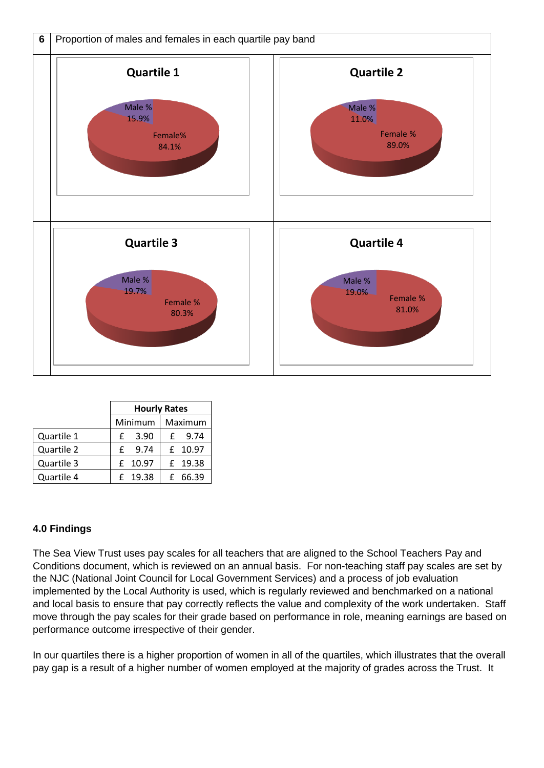

|            | <b>Hourly Rates</b> |         |         |          |
|------------|---------------------|---------|---------|----------|
|            | Minimum             |         | Maximum |          |
| Quartile 1 | £                   | 3.90    |         | $f$ 9.74 |
| Quartile 2 | £                   | 9.74    |         | £ 10.97  |
| Quartile 3 |                     | £ 10.97 |         | £ 19.38  |
| Quartile 4 |                     | £ 19.38 |         | £ 66.39  |

#### **4.0 Findings**

The Sea View Trust uses pay scales for all teachers that are aligned to the School Teachers Pay and Conditions document, which is reviewed on an annual basis. For non-teaching staff pay scales are set by the NJC (National Joint Council for Local Government Services) and a process of job evaluation implemented by the Local Authority is used, which is regularly reviewed and benchmarked on a national and local basis to ensure that pay correctly reflects the value and complexity of the work undertaken. Staff move through the pay scales for their grade based on performance in role, meaning earnings are based on performance outcome irrespective of their gender.

In our quartiles there is a higher proportion of women in all of the quartiles, which illustrates that the overall pay gap is a result of a higher number of women employed at the majority of grades across the Trust. It